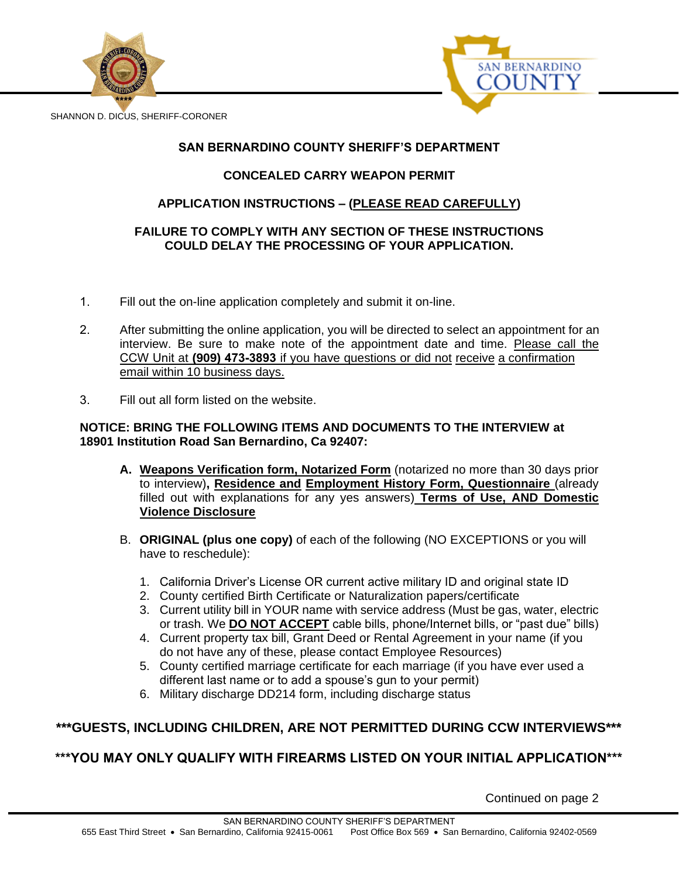



SHANNON D. DICUS, SHERIFF-CORONER

## **SAN BERNARDINO COUNTY SHERIFF'S DEPARTMENT**

## **CONCEALED CARRY WEAPON PERMIT**

## **APPLICATION INSTRUCTIONS – (PLEASE READ CAREFULLY)**

### **FAILURE TO COMPLY WITH ANY SECTION OF THESE INSTRUCTIONS COULD DELAY THE PROCESSING OF YOUR APPLICATION.**

- 1. Fill out the on-line application completely and submit it on-line.
- 2. After submitting the online application, you will be directed to select an appointment for an interview. Be sure to make note of the appointment date and time. Please call the CCW Unit at **(909) 473-3893** if you have questions or did not receive a confirmation email within 10 business days.
- 3. Fill out all form listed on the website.

#### **NOTICE: BRING THE FOLLOWING ITEMS AND DOCUMENTS TO THE INTERVIEW at 18901 Institution Road San Bernardino, Ca 92407:**

- **A. Weapons Verification form, Notarized Form** (notarized no more than 30 days prior to interview)**, Residence and Employment History Form, Questionnaire** (already filled out with explanations for any yes answers) **Terms of Use, AND Domestic Violence Disclosure**
- B. **ORIGINAL (plus one copy)** of each of the following (NO EXCEPTIONS or you will have to reschedule):
	- 1. California Driver's License OR current active military ID and original state ID
	- 2. County certified Birth Certificate or Naturalization papers/certificate
	- 3. Current utility bill in YOUR name with service address (Must be gas, water, electric or trash. We **DO NOT ACCEPT** cable bills, phone/Internet bills, or "past due" bills)
	- 4. Current property tax bill, Grant Deed or Rental Agreement in your name (if you do not have any of these, please contact Employee Resources)
	- 5. County certified marriage certificate for each marriage (if you have ever used a different last name or to add a spouse's gun to your permit)
	- 6. Military discharge DD214 form, including discharge status

## **\*\*\*GUESTS, INCLUDING CHILDREN, ARE NOT PERMITTED DURING CCW INTERVIEWS\*\*\***

# **\*\*\*YOU MAY ONLY QUALIFY WITH FIREARMS LISTED ON YOUR INITIAL APPLICATION\*\*\***

Continued on page 2